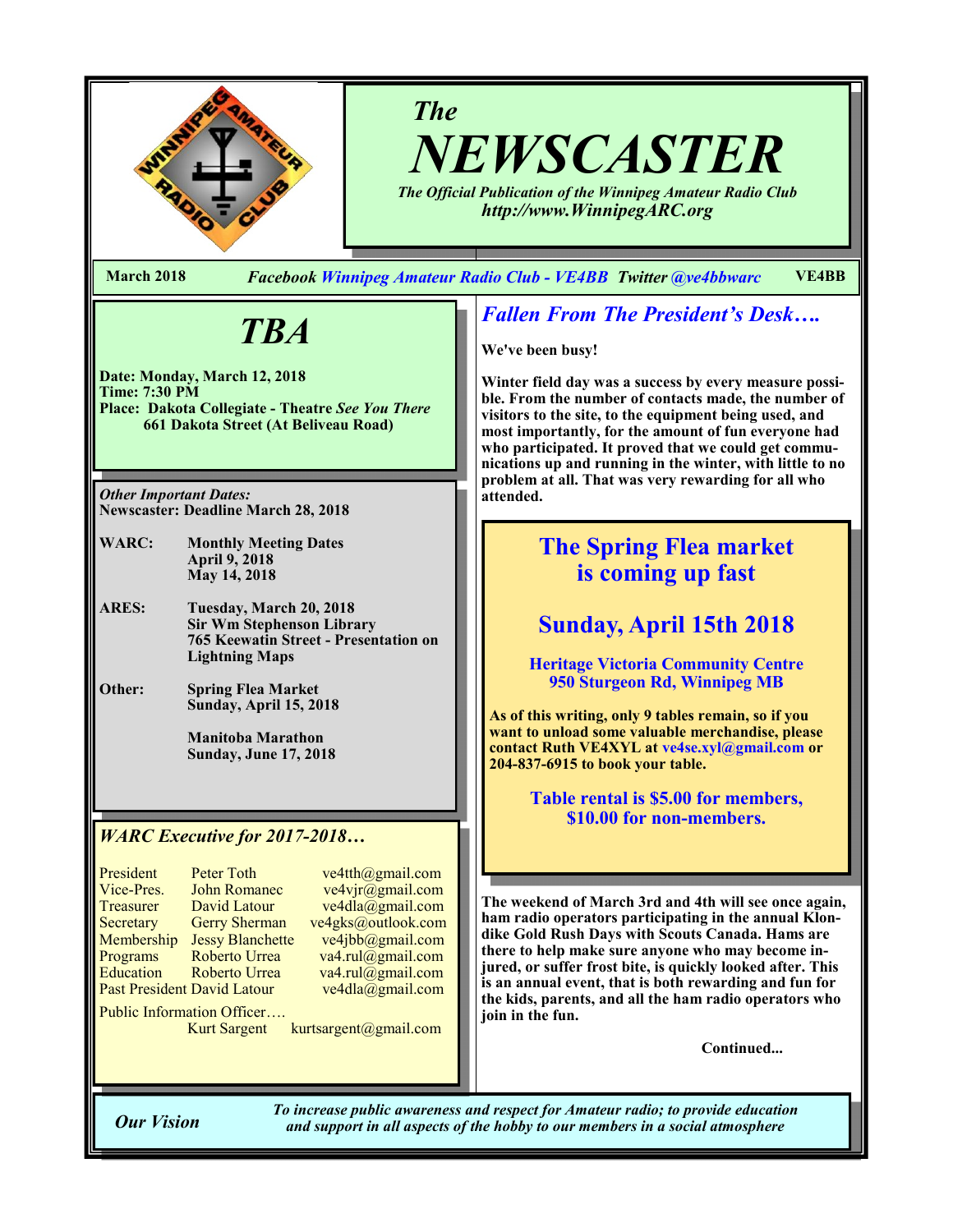

# *The NEWSCASTER*

*The Official Publication of the Winnipeg Amateur Radio Club http://www.WinnipegARC.org*

**March 2018** *Facebook Winnipeg Amateur Radio Club - VE4BB Twitter @ve4bbwarc* **VE4BB**

# *TBA*

**Date: Monday, March 12, 2018 Time: 7:30 PM Place: Dakota Collegiate - Theatre** *See You There* **661 Dakota Street (At Beliveau Road)**

*Other Important Dates:* **Newscaster: Deadline March 28, 2018**

- **WARC: Monthly Meeting Dates April 9, 2018 May 14, 2018**
- **ARES: Tuesday, March 20, 2018 Sir Wm Stephenson Library 765 Keewatin Street - Presentation on Lightning Maps**
- **Other: Spring Flea Market Sunday, April 15, 2018**

**Manitoba Marathon Sunday, June 17, 2018**

## *WARC Executive for 2017-2018…*

| President        | <b>Peter Toth</b>                  | ve <sup>2</sup> |
|------------------|------------------------------------|-----------------|
| Vice-Pres.       | <b>John Romanec</b>                | ve              |
| Treasurer        | David Latour                       | ve <sup>2</sup> |
| Secretary        | <b>Gerry Sherman</b>               | ve4g            |
| Membership       | <b>Jessy Blanchette</b>            | ve <sup>2</sup> |
| Programs         | Roberto Urrea                      | va4             |
| <b>Education</b> | Roberto Urrea                      | va4             |
|                  | <b>Past President David Latour</b> | ve <sup>2</sup> |
|                  |                                    |                 |

4tth@gmail.com  $4$ vjr $\overline{\omega}$ gmail.com  $4dla(\overline{\omega})$ gmail.com  $ks@$ outlook.com  $4$ jbb $@g$ mail.com  $\cdot$ rul@gmail.com  $\text{H}\text{-}\text{rul}(\omega)$ gmail.com  $4dla @gmail.com$ 

Public Information Officer….

Kurt Sargent kurtsargent@gmail.com

## *Fallen From The President's Desk….*

**We've been busy!**

**Winter field day was a success by every measure possible. From the number of contacts made, the number of visitors to the site, to the equipment being used, and most importantly, for the amount of fun everyone had who participated. It proved that we could get communications up and running in the winter, with little to no problem at all. That was very rewarding for all who attended.**

# **The Spring Flea market is coming up fast**

# **Sunday, April 15th 2018**

**Heritage Victoria Community Centre 950 Sturgeon Rd, Winnipeg MB**

**As of this writing, only 9 tables remain, so if you want to unload some valuable merchandise, please contact Ruth VE4XYL at ve4se.xyl@gmail.com or 204-837-6915 to book your table.** 

> **Table rental is \$5.00 for members, \$10.00 for non-members.**

**The weekend of March 3rd and 4th will see once again,**  ham radio operators participating in the annual Klon**dike Gold Rush Days with Scouts Canada. Hams are there to help make sure anyone who may become injured, or suffer frost bite, is quickly looked after. This is an annual event, that is both rewarding and fun for the kids, parents, and all the ham radio operators who join in the fun.**

**Continued...**

*To increase public awareness and respect for Amateur radio; to provide education Our Vision and support in all aspects of the hobby to our members in a social atmosphere*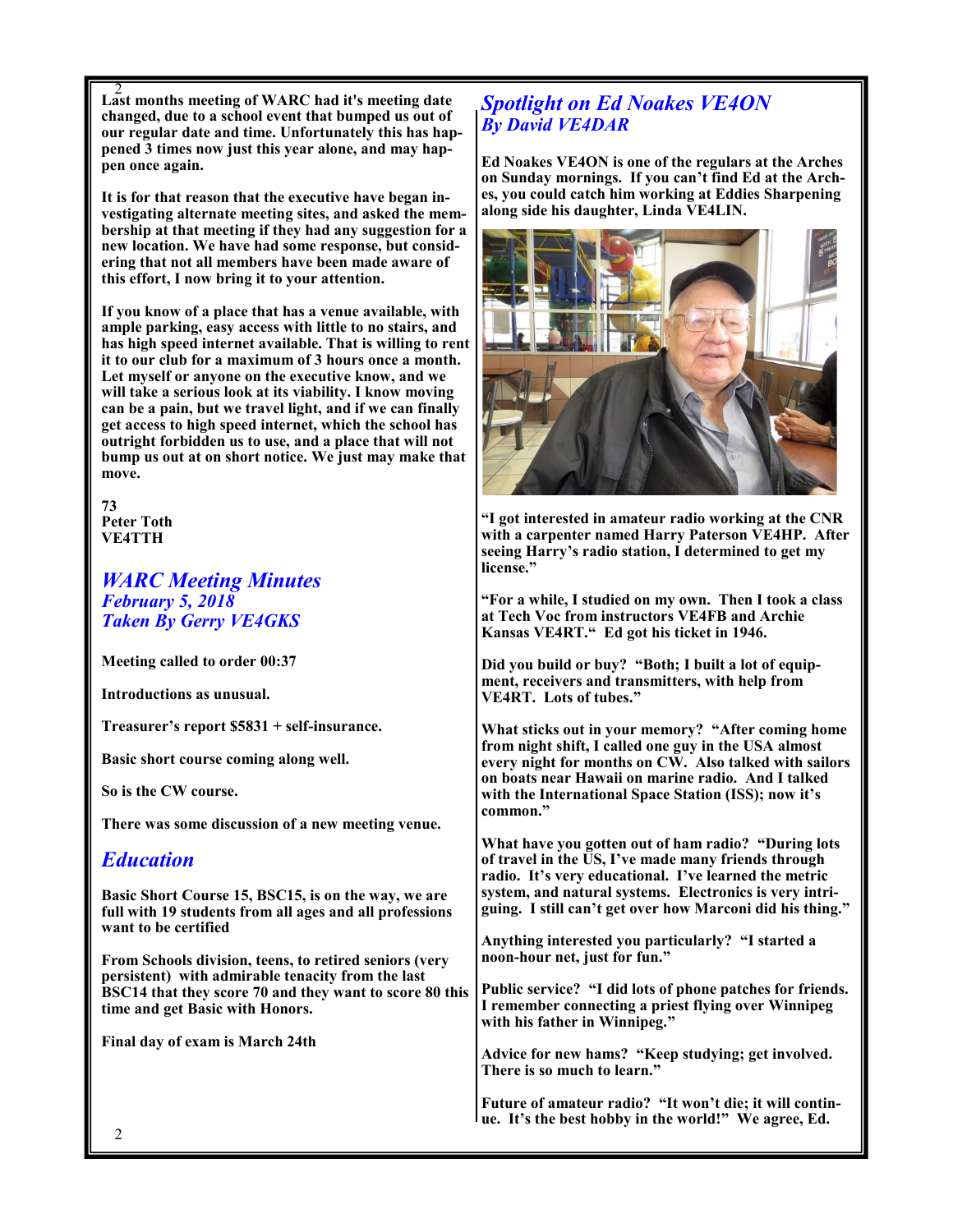2 **Last months meeting of WARC had it's meeting date changed, due to a school event that bumped us out of our regular date and time. Unfortunately this has happened 3 times now just this year alone, and may happen once again.**

**It is for that reason that the executive have began investigating alternate meeting sites, and asked the membership at that meeting if they had any suggestion for a new location. We have had some response, but considering that not all members have been made aware of this effort, I now bring it to your attention.**

**If you know of a place that has a venue available, with ample parking, easy access with little to no stairs, and has high speed internet available. That is willing to rent it to our club for a maximum of 3 hours once a month. Let myself or anyone on the executive know, and we will take a serious look at its viability. I know moving can be a pain, but we travel light, and if we can finally get access to high speed internet, which the school has outright forbidden us to use, and a place that will not bump us out at on short notice. We just may make that move.**

**73 Peter Toth VE4TTH**

*WARC Meeting Minutes February 5, 2018 Taken By Gerry VE4GKS*

**Meeting called to order 00:37**

**Introductions as unusual.**

**Treasurer's report \$5831 + self-insurance.**

**Basic short course coming along well.**

**So is the CW course.**

**There was some discussion of a new meeting venue.**

## *Education*

**Basic Short Course 15, BSC15, is on the way, we are full with 19 students from all ages and all professions want to be certified** 

**From Schools division, teens, to retired seniors (very persistent) with admirable tenacity from the last BSC14 that they score 70 and they want to score 80 this time and get Basic with Honors.**

**Final day of exam is March 24th** 

## *Spotlight on Ed Noakes VE4ON By David VE4DAR*

**Ed Noakes VE4ON is one of the regulars at the Arches on Sunday mornings. If you can't find Ed at the Arches, you could catch him working at Eddies Sharpening along side his daughter, Linda VE4LIN.**



**"I got interested in amateur radio working at the CNR with a carpenter named Harry Paterson VE4HP. After seeing Harry's radio station, I determined to get my license."**

**"For a while, I studied on my own. Then I took a class at Tech Voc from instructors VE4FB and Archie Kansas VE4RT." Ed got his ticket in 1946.**

**Did you build or buy? "Both; I built a lot of equipment, receivers and transmitters, with help from VE4RT. Lots of tubes."**

**What sticks out in your memory? "After coming home from night shift, I called one guy in the USA almost every night for months on CW. Also talked with sailors on boats near Hawaii on marine radio. And I talked with the International Space Station (ISS); now it's common."**

**What have you gotten out of ham radio? "During lots of travel in the US, I've made many friends through radio. It's very educational. I've learned the metric system, and natural systems. Electronics is very intriguing. I still can't get over how Marconi did his thing."**

**Anything interested you particularly? "I started a noon-hour net, just for fun."**

**Public service? "I did lots of phone patches for friends. I remember connecting a priest flying over Winnipeg with his father in Winnipeg."**

**Advice for new hams? "Keep studying; get involved. There is so much to learn."**

**Future of amateur radio? "It won't die; it will continue. It's the best hobby in the world!" We agree, Ed.**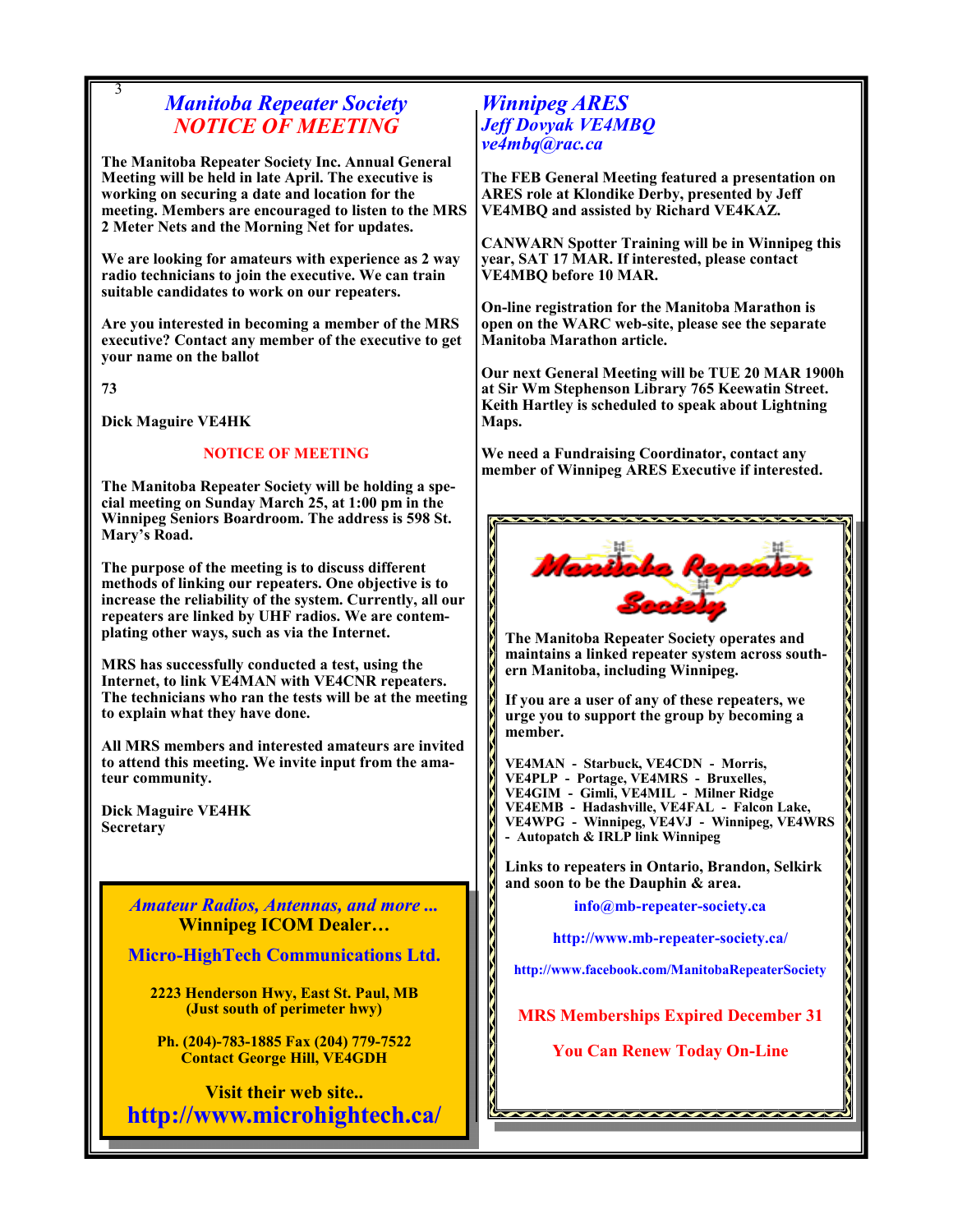## *Manitoba Repeater Society NOTICE OF MEETING*

**The Manitoba Repeater Society Inc. Annual General Meeting will be held in late April. The executive is working on securing a date and location for the meeting. Members are encouraged to listen to the MRS 2 Meter Nets and the Morning Net for updates.**

**We are looking for amateurs with experience as 2 way radio technicians to join the executive. We can train suitable candidates to work on our repeaters.** 

**Are you interested in becoming a member of the MRS executive? Contact any member of the executive to get your name on the ballot**

**73**

3

**Dick Maguire VE4HK**

### **NOTICE OF MEETING**

**The Manitoba Repeater Society will be holding a special meeting on Sunday March 25, at 1:00 pm in the Winnipeg Seniors Boardroom. The address is 598 St. Mary's Road.**

**The purpose of the meeting is to discuss different methods of linking our repeaters. One objective is to increase the reliability of the system. Currently, all our repeaters are linked by UHF radios. We are contemplating other ways, such as via the Internet.** 

**MRS has successfully conducted a test, using the Internet, to link VE4MAN with VE4CNR repeaters. The technicians who ran the tests will be at the meeting to explain what they have done.**

**All MRS members and interested amateurs are invited to attend this meeting. We invite input from the amateur community.** 

**Dick Maguire VE4HK Secretary**

3

*Amateur Radios, Antennas, and more ...*  **Winnipeg ICOM Dealer…**

**Micro-HighTech Communications Ltd.**

**2223 Henderson Hwy, East St. Paul, MB (Just south of perimeter hwy)**

**Ph. (204)-783-1885 Fax (204) 779-7522 Contact George Hill, VE4GDH**

**Visit their web site.. http://www.microhightech.ca/**

## *Winnipeg ARES Jeff Dovyak VE4MBQ ve4mbq@rac.ca*

**The FEB General Meeting featured a presentation on ARES role at Klondike Derby, presented by Jeff VE4MBQ and assisted by Richard VE4KAZ.**

**CANWARN Spotter Training will be in Winnipeg this year, SAT 17 MAR. If interested, please contact VE4MBQ before 10 MAR.**

**On-line registration for the Manitoba Marathon is open on the WARC web-site, please see the separate Manitoba Marathon article.**

**Our next General Meeting will be TUE 20 MAR 1900h at Sir Wm Stephenson Library 765 Keewatin Street. Keith Hartley is scheduled to speak about Lightning Maps.**

**We need a Fundraising Coordinator, contact any member of Winnipeg ARES Executive if interested.**



**The Manitoba Repeater Society operates and maintains a linked repeater system across southern Manitoba, including Winnipeg.**

**If you are a user of any of these repeaters, we urge you to support the group by becoming a member.**

**VE4MAN - Starbuck, VE4CDN - Morris, VE4PLP - Portage, VE4MRS - Bruxelles, VE4GIM - Gimli, VE4MIL - Milner Ridge VE4EMB - Hadashville, VE4FAL - Falcon Lake, VE4WPG - Winnipeg, VE4VJ - Winnipeg, VE4WRS - Autopatch & IRLP link Winnipeg**

**Links to repeaters in Ontario, Brandon, Selkirk and soon to be the Dauphin & area.**

**info@mb-repeater-society.ca**

**http://www.mb-repeater-society.ca/**

**http://www.facebook.com/ManitobaRepeaterSociety**

**MRS Memberships Expired December 31**

**You Can Renew Today On-Line**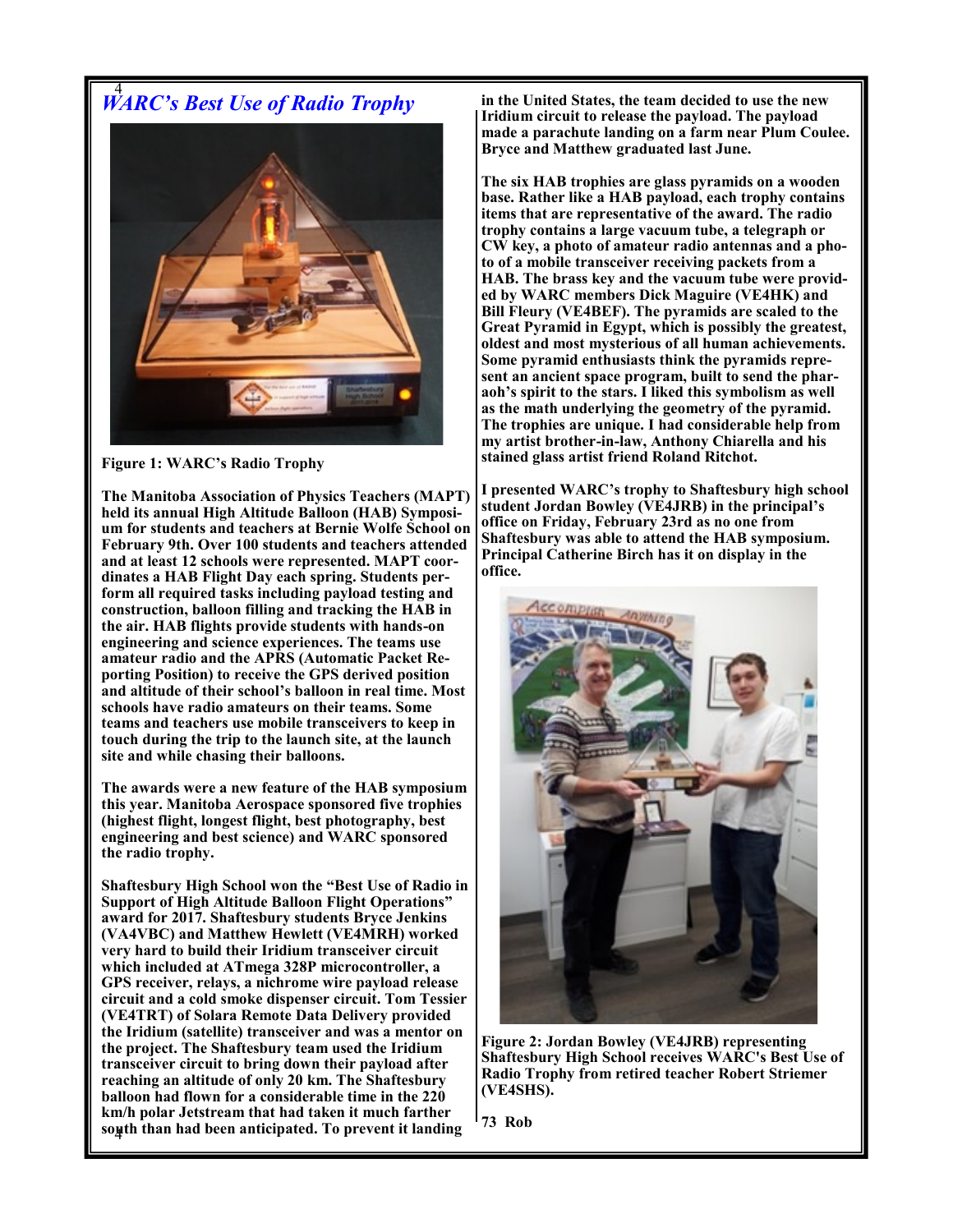# 4 *WARC's Best Use of Radio Trophy*



**Figure 1: WARC's Radio Trophy**

**The Manitoba Association of Physics Teachers (MAPT) held its annual High Altitude Balloon (HAB) Symposium for students and teachers at Bernie Wolfe School on February 9th. Over 100 students and teachers attended and at least 12 schools were represented. MAPT coordinates a HAB Flight Day each spring. Students perform all required tasks including payload testing and construction, balloon filling and tracking the HAB in the air. HAB flights provide students with hands-on engineering and science experiences. The teams use amateur radio and the APRS (Automatic Packet Reporting Position) to receive the GPS derived position and altitude of their school's balloon in real time. Most schools have radio amateurs on their teams. Some teams and teachers use mobile transceivers to keep in touch during the trip to the launch site, at the launch site and while chasing their balloons.** 

**The awards were a new feature of the HAB symposium this year. Manitoba Aerospace sponsored five trophies (highest flight, longest flight, best photography, best engineering and best science) and WARC sponsored the radio trophy.** 

4 **south than had been anticipated. To prevent it landing Shaftesbury High School won the "Best Use of Radio in Support of High Altitude Balloon Flight Operations" award for 2017. Shaftesbury students Bryce Jenkins (VA4VBC) and Matthew Hewlett (VE4MRH) worked very hard to build their Iridium transceiver circuit which included at ATmega 328P microcontroller, a GPS receiver, relays, a nichrome wire payload release circuit and a cold smoke dispenser circuit. Tom Tessier (VE4TRT) of Solara Remote Data Delivery provided the Iridium (satellite) transceiver and was a mentor on the project. The Shaftesbury team used the Iridium transceiver circuit to bring down their payload after reaching an altitude of only 20 km. The Shaftesbury balloon had flown for a considerable time in the 220 km/h polar Jetstream that had taken it much farther** 

**in the United States, the team decided to use the new Iridium circuit to release the payload. The payload made a parachute landing on a farm near Plum Coulee. Bryce and Matthew graduated last June.**

**The six HAB trophies are glass pyramids on a wooden base. Rather like a HAB payload, each trophy contains items that are representative of the award. The radio trophy contains a large vacuum tube, a telegraph or CW key, a photo of amateur radio antennas and a photo of a mobile transceiver receiving packets from a HAB. The brass key and the vacuum tube were provided by WARC members Dick Maguire (VE4HK) and Bill Fleury (VE4BEF). The pyramids are scaled to the Great Pyramid in Egypt, which is possibly the greatest, oldest and most mysterious of all human achievements. Some pyramid enthusiasts think the pyramids represent an ancient space program, built to send the pharaoh's spirit to the stars. I liked this symbolism as well as the math underlying the geometry of the pyramid. The trophies are unique. I had considerable help from my artist brother-in-law, Anthony Chiarella and his stained glass artist friend Roland Ritchot.** 

**I presented WARC's trophy to Shaftesbury high school student Jordan Bowley (VE4JRB) in the principal's office on Friday, February 23rd as no one from Shaftesbury was able to attend the HAB symposium. Principal Catherine Birch has it on display in the office.**



**Figure 2: Jordan Bowley (VE4JRB) representing Shaftesbury High School receives WARC's Best Use of Radio Trophy from retired teacher Robert Striemer (VE4SHS).**

**73 Rob**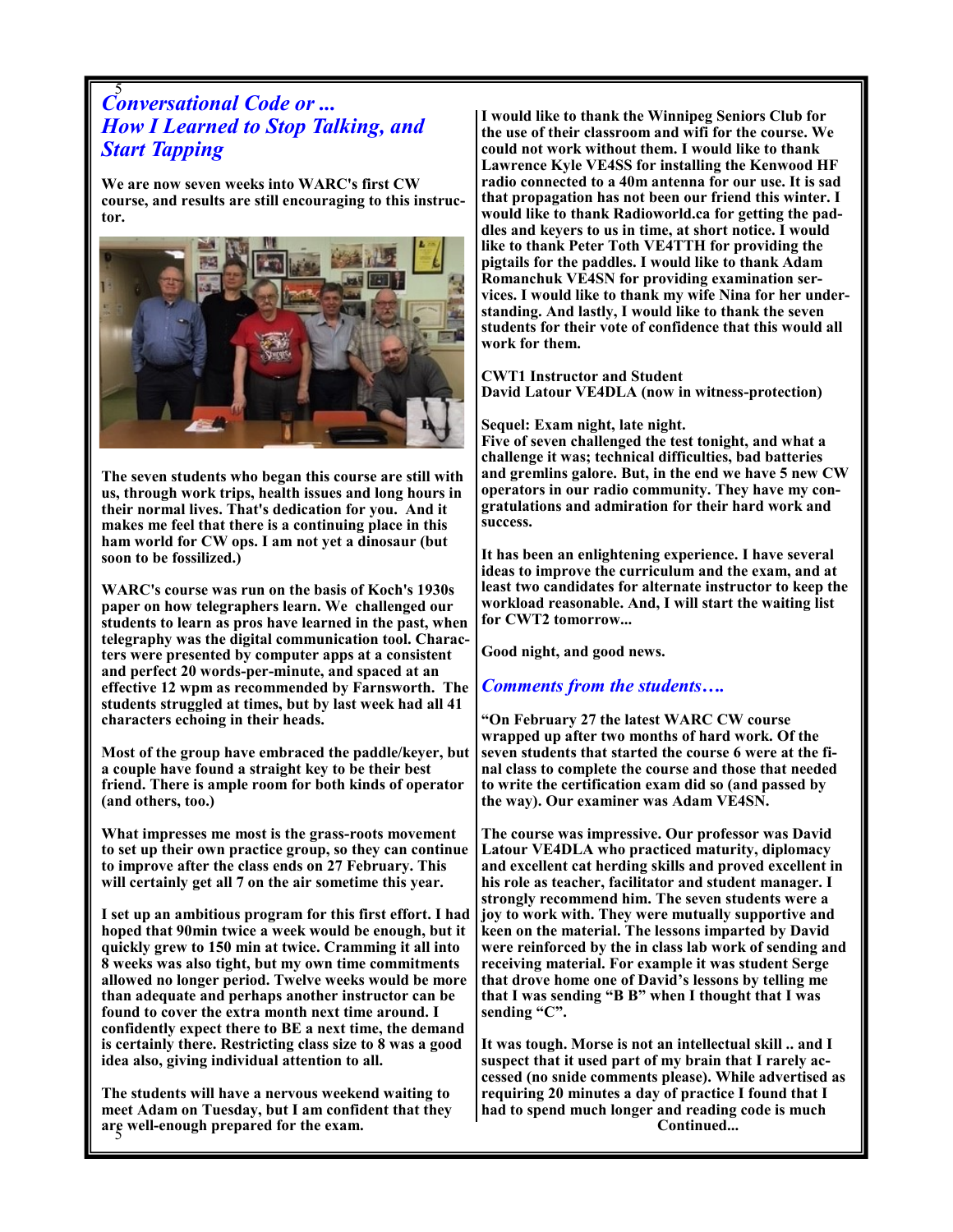# 5 *Conversational Code or ... How I Learned to Stop Talking, and Start Tapping*

**We are now seven weeks into WARC's first CW course, and results are still encouraging to this instructor.** 



**The seven students who began this course are still with us, through work trips, health issues and long hours in their normal lives. That's dedication for you. And it makes me feel that there is a continuing place in this ham world for CW ops. I am not yet a dinosaur (but soon to be fossilized.)**

**WARC's course was run on the basis of Koch's 1930s paper on how telegraphers learn. We challenged our students to learn as pros have learned in the past, when telegraphy was the digital communication tool. Characters were presented by computer apps at a consistent and perfect 20 words-per-minute, and spaced at an effective 12 wpm as recommended by Farnsworth. The students struggled at times, but by last week had all 41 characters echoing in their heads.**

**Most of the group have embraced the paddle/keyer, but a couple have found a straight key to be their best friend. There is ample room for both kinds of operator (and others, too.)**

**What impresses me most is the grass-roots movement to set up their own practice group, so they can continue to improve after the class ends on 27 February. This will certainly get all 7 on the air sometime this year.**

**I set up an ambitious program for this first effort. I had hoped that 90min twice a week would be enough, but it quickly grew to 150 min at twice. Cramming it all into 8 weeks was also tight, but my own time commitments allowed no longer period. Twelve weeks would be more than adequate and perhaps another instructor can be found to cover the extra month next time around. I confidently expect there to BE a next time, the demand is certainly there. Restricting class size to 8 was a good idea also, giving individual attention to all.** 

5 **are well-enough prepared for the exam. The students will have a nervous weekend waiting to meet Adam on Tuesday, but I am confident that they**  **I would like to thank the Winnipeg Seniors Club for the use of their classroom and wifi for the course. We could not work without them. I would like to thank Lawrence Kyle VE4SS for installing the Kenwood HF radio connected to a 40m antenna for our use. It is sad that propagation has not been our friend this winter. I would like to thank Radioworld.ca for getting the paddles and keyers to us in time, at short notice. I would like to thank Peter Toth VE4TTH for providing the pigtails for the paddles. I would like to thank Adam Romanchuk VE4SN for providing examination services. I would like to thank my wife Nina for her understanding. And lastly, I would like to thank the seven students for their vote of confidence that this would all work for them.**

**CWT1 Instructor and Student David Latour VE4DLA (now in witness-protection)**

#### **Sequel: Exam night, late night.**

**Five of seven challenged the test tonight, and what a challenge it was; technical difficulties, bad batteries and gremlins galore. But, in the end we have 5 new CW operators in our radio community. They have my congratulations and admiration for their hard work and success.**

**It has been an enlightening experience. I have several ideas to improve the curriculum and the exam, and at least two candidates for alternate instructor to keep the workload reasonable. And, I will start the waiting list for CWT2 tomorrow...**

**Good night, and good news.**

#### *Comments from the students….*

**"On February 27 the latest WARC CW course wrapped up after two months of hard work. Of the seven students that started the course 6 were at the final class to complete the course and those that needed to write the certification exam did so (and passed by the way). Our examiner was Adam VE4SN.**

**The course was impressive. Our professor was David Latour VE4DLA who practiced maturity, diplomacy and excellent cat herding skills and proved excellent in his role as teacher, facilitator and student manager. I strongly recommend him. The seven students were a joy to work with. They were mutually supportive and keen on the material. The lessons imparted by David were reinforced by the in class lab work of sending and receiving material. For example it was student Serge that drove home one of David's lessons by telling me that I was sending "B B" when I thought that I was sending "C".** 

**It was tough. Morse is not an intellectual skill .. and I suspect that it used part of my brain that I rarely accessed (no snide comments please). While advertised as requiring 20 minutes a day of practice I found that I had to spend much longer and reading code is much Continued...**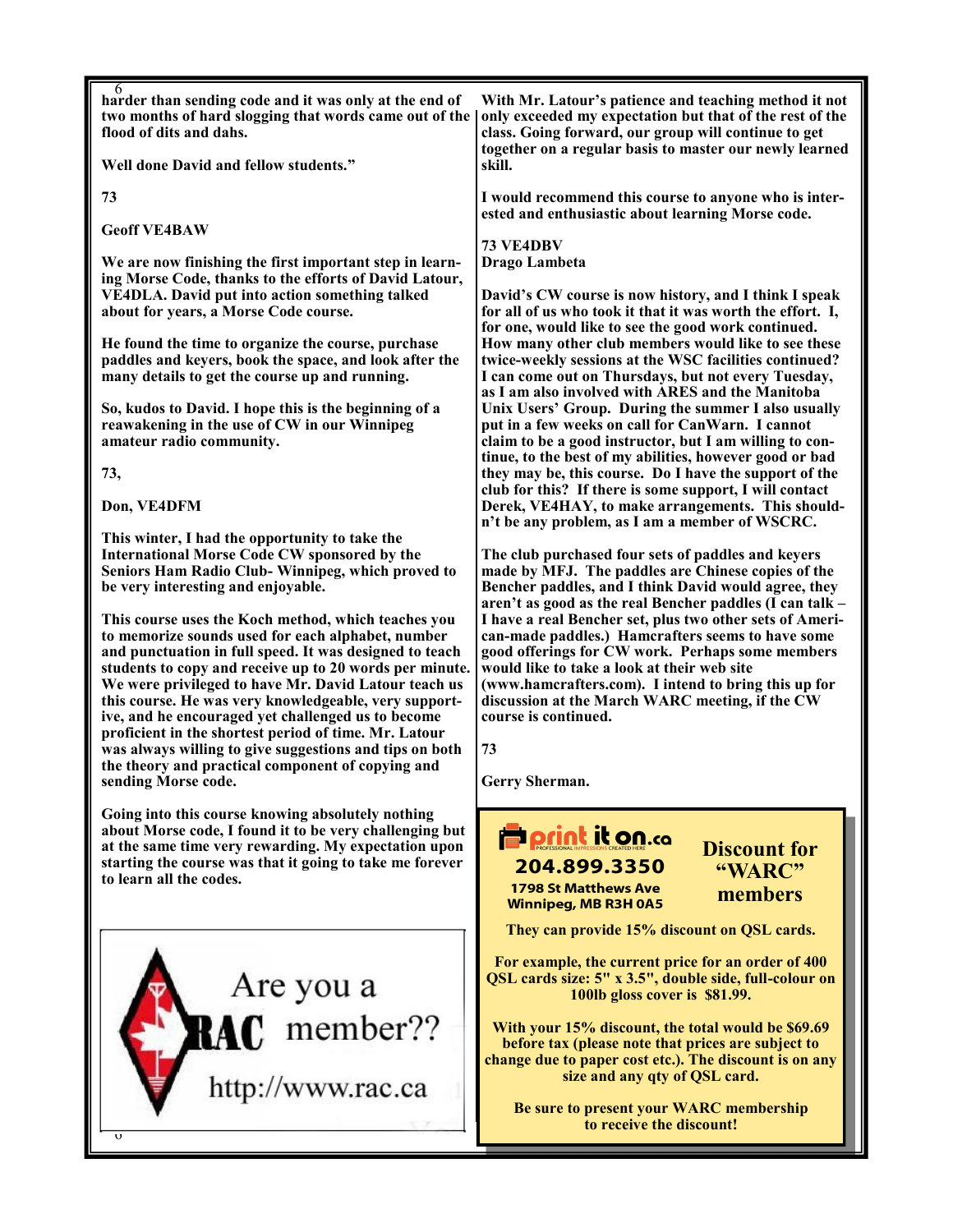| 6<br>harder than sending code and it was only at the end of<br>two months of hard slogging that words came out of the<br>flood of dits and dahs.                                                                                                                                                                                                                                                                                                                                                                                                                                                                                                                                                                                                                                                          | With Mr. Latour's patience and teaching method it not<br>only exceeded my expectation but that of the rest of the<br>class. Going forward, our group will continue to get<br>together on a regular basis to master our newly learned<br>skill.                                                                                                                                                                                                                                                                                                                                                              |  |  |
|-----------------------------------------------------------------------------------------------------------------------------------------------------------------------------------------------------------------------------------------------------------------------------------------------------------------------------------------------------------------------------------------------------------------------------------------------------------------------------------------------------------------------------------------------------------------------------------------------------------------------------------------------------------------------------------------------------------------------------------------------------------------------------------------------------------|-------------------------------------------------------------------------------------------------------------------------------------------------------------------------------------------------------------------------------------------------------------------------------------------------------------------------------------------------------------------------------------------------------------------------------------------------------------------------------------------------------------------------------------------------------------------------------------------------------------|--|--|
| Well done David and fellow students."                                                                                                                                                                                                                                                                                                                                                                                                                                                                                                                                                                                                                                                                                                                                                                     |                                                                                                                                                                                                                                                                                                                                                                                                                                                                                                                                                                                                             |  |  |
| 73                                                                                                                                                                                                                                                                                                                                                                                                                                                                                                                                                                                                                                                                                                                                                                                                        | I would recommend this course to anyone who is inter-<br>ested and enthusiastic about learning Morse code.                                                                                                                                                                                                                                                                                                                                                                                                                                                                                                  |  |  |
| <b>Geoff VE4BAW</b>                                                                                                                                                                                                                                                                                                                                                                                                                                                                                                                                                                                                                                                                                                                                                                                       | 73 VE4DBV                                                                                                                                                                                                                                                                                                                                                                                                                                                                                                                                                                                                   |  |  |
| We are now finishing the first important step in learn-<br>ing Morse Code, thanks to the efforts of David Latour,<br>VE4DLA. David put into action something talked<br>about for years, a Morse Code course.                                                                                                                                                                                                                                                                                                                                                                                                                                                                                                                                                                                              | Drago Lambeta<br>David's CW course is now history, and I think I speak<br>for all of us who took it that it was worth the effort. I,                                                                                                                                                                                                                                                                                                                                                                                                                                                                        |  |  |
| He found the time to organize the course, purchase<br>paddles and keyers, book the space, and look after the<br>many details to get the course up and running.                                                                                                                                                                                                                                                                                                                                                                                                                                                                                                                                                                                                                                            | for one, would like to see the good work continued.<br>How many other club members would like to see these<br>twice-weekly sessions at the WSC facilities continued?<br>I can come out on Thursdays, but not every Tuesday,<br>as I am also involved with ARES and the Manitoba<br>Unix Users' Group. During the summer I also usually<br>put in a few weeks on call for CanWarn. I cannot<br>claim to be a good instructor, but I am willing to con-<br>tinue, to the best of my abilities, however good or bad                                                                                            |  |  |
| So, kudos to David. I hope this is the beginning of a<br>reawakening in the use of CW in our Winnipeg<br>amateur radio community.                                                                                                                                                                                                                                                                                                                                                                                                                                                                                                                                                                                                                                                                         |                                                                                                                                                                                                                                                                                                                                                                                                                                                                                                                                                                                                             |  |  |
| 73,                                                                                                                                                                                                                                                                                                                                                                                                                                                                                                                                                                                                                                                                                                                                                                                                       | they may be, this course. Do I have the support of the<br>club for this? If there is some support, I will contact                                                                                                                                                                                                                                                                                                                                                                                                                                                                                           |  |  |
| Don, VE4DFM                                                                                                                                                                                                                                                                                                                                                                                                                                                                                                                                                                                                                                                                                                                                                                                               | Derek, VE4HAY, to make arrangements. This should-<br>n't be any problem, as I am a member of WSCRC.                                                                                                                                                                                                                                                                                                                                                                                                                                                                                                         |  |  |
| This winter, I had the opportunity to take the<br><b>International Morse Code CW sponsored by the</b><br>Seniors Ham Radio Club- Winnipeg, which proved to<br>be very interesting and enjoyable.<br>This course uses the Koch method, which teaches you<br>to memorize sounds used for each alphabet, number<br>and punctuation in full speed. It was designed to teach<br>students to copy and receive up to 20 words per minute.<br>We were privileged to have Mr. David Latour teach us<br>this course. He was very knowledgeable, very support-<br>ive, and he encouraged yet challenged us to become<br>proficient in the shortest period of time. Mr. Latour<br>was always willing to give suggestions and tips on both<br>the theory and practical component of copying and<br>sending Morse code. | The club purchased four sets of paddles and keyers<br>made by MFJ. The paddles are Chinese copies of the<br>Bencher paddles, and I think David would agree, they<br>aren't as good as the real Bencher paddles (I can talk -<br>I have a real Bencher set, plus two other sets of Ameri-<br>can-made paddles.) Hamcrafters seems to have some<br>good offerings for CW work. Perhaps some members<br>would like to take a look at their web site<br>(www.hamcrafters.com). I intend to bring this up for<br>discussion at the March WARC meeting, if the CW<br>course is continued.<br>73<br>Gerry Sherman. |  |  |
| Going into this course knowing absolutely nothing<br>about Morse code, I found it to be very challenging but<br>at the same time very rewarding. My expectation upon<br>starting the course was that it going to take me forever<br>to learn all the codes.                                                                                                                                                                                                                                                                                                                                                                                                                                                                                                                                               | <b>Porint it on.co</b><br><b>Discount for</b><br>204.899.3350<br>"WARC"<br><b>1798 St Matthews Ave</b><br>members<br><b>Winnipeg, MB R3H 0A5</b><br>They can provide 15% discount on QSL cards.                                                                                                                                                                                                                                                                                                                                                                                                             |  |  |
| Are you a<br>RAC member??<br>http://www.rac.ca<br>$\upsilon$                                                                                                                                                                                                                                                                                                                                                                                                                                                                                                                                                                                                                                                                                                                                              | For example, the current price for an order of 400<br>QSL cards size: 5" x 3.5", double side, full-colour on<br>100lb gloss cover is \$81.99.<br>With your 15% discount, the total would be \$69.69<br>before tax (please note that prices are subject to<br>change due to paper cost etc.). The discount is on any<br>size and any qty of QSL card.<br>Be sure to present your WARC membership<br>to receive the discount!                                                                                                                                                                                 |  |  |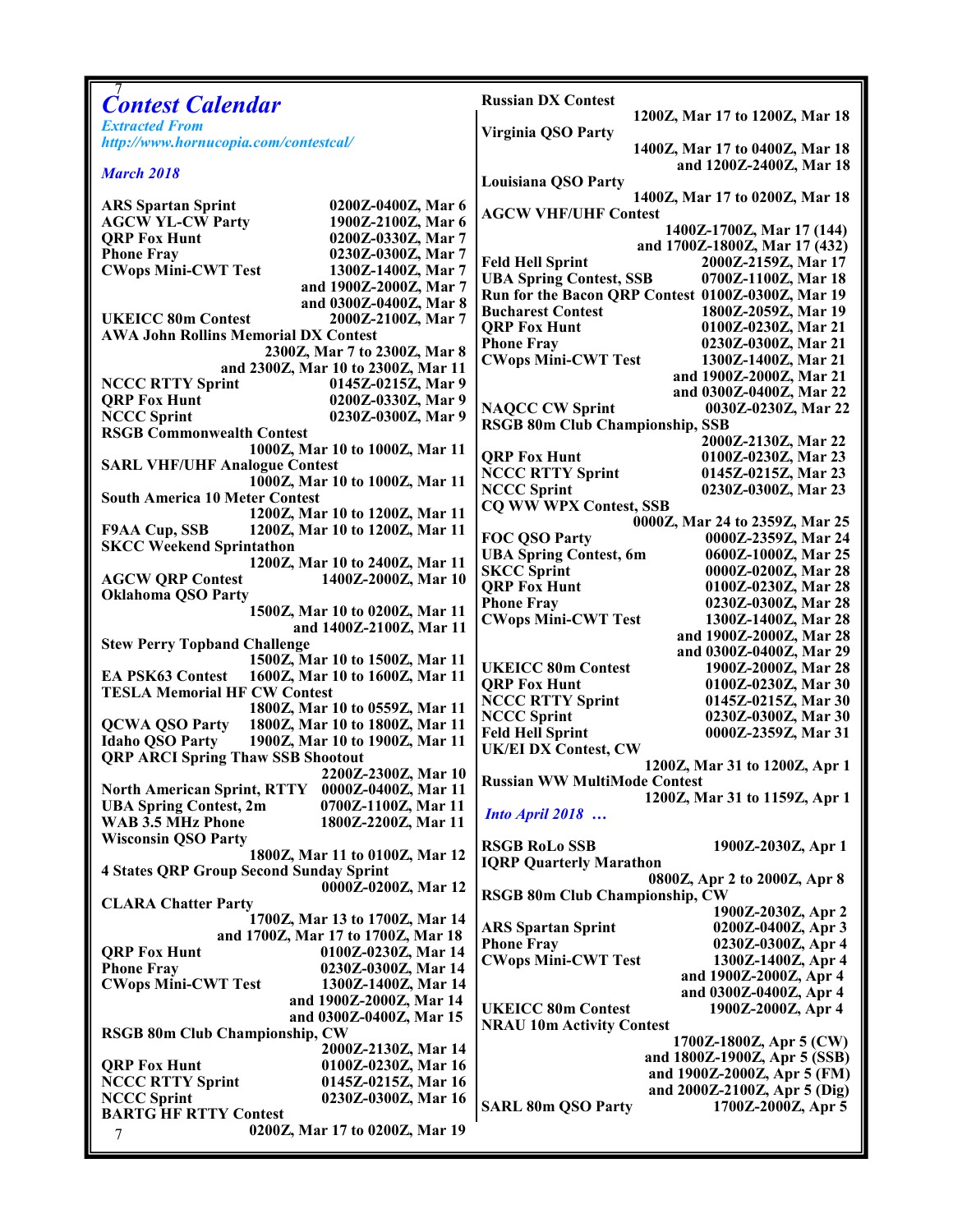|                                                                         |                                            | <b>Russian DX Contest</b>                                             |                                                      |
|-------------------------------------------------------------------------|--------------------------------------------|-----------------------------------------------------------------------|------------------------------------------------------|
| <b>Contest Calendar</b>                                                 |                                            |                                                                       | 1200Z, Mar 17 to 1200Z, Mar 18                       |
| <b>Extracted From</b>                                                   |                                            | Virginia QSO Party                                                    |                                                      |
| http://www.hornucopia.com/contestcal/                                   |                                            |                                                                       | 1400Z, Mar 17 to 0400Z, Mar 18                       |
| <b>March 2018</b>                                                       |                                            |                                                                       | and 1200Z-2400Z, Mar 18                              |
|                                                                         |                                            | Louisiana QSO Party                                                   |                                                      |
| <b>ARS Spartan Sprint</b>                                               | 0200Z-0400Z, Mar 6                         |                                                                       | 1400Z, Mar 17 to 0200Z, Mar 18                       |
| <b>AGCW YL-CW Party</b>                                                 | 1900Z-2100Z, Mar 6                         | <b>AGCW VHF/UHF Contest</b>                                           |                                                      |
| <b>QRP Fox Hunt</b>                                                     | 0200Z-0330Z, Mar 7                         |                                                                       | 1400Z-1700Z, Mar 17 (144)                            |
| <b>Phone Fray</b>                                                       | 0230Z-0300Z, Mar 7                         | <b>Feld Hell Sprint</b>                                               | and 1700Z-1800Z, Mar 17 (432)<br>2000Z-2159Z, Mar 17 |
| <b>CWops Mini-CWT Test</b>                                              | 1300Z-1400Z, Mar 7                         | <b>UBA Spring Contest, SSB</b>                                        | 0700Z-1100Z, Mar 18                                  |
|                                                                         | and 1900Z-2000Z, Mar 7                     |                                                                       | Run for the Bacon QRP Contest 0100Z-0300Z, Mar 19    |
|                                                                         | and 0300Z-0400Z, Mar 8                     | <b>Bucharest Contest</b>                                              | 1800Z-2059Z, Mar 19                                  |
| <b>UKEICC 80m Contest</b>                                               | 2000Z-2100Z, Mar 7                         | <b>ORP Fox Hunt</b>                                                   | 0100Z-0230Z, Mar 21                                  |
| <b>AWA John Rollins Memorial DX Contest</b>                             |                                            | <b>Phone Fray</b>                                                     | 0230Z-0300Z, Mar 21                                  |
| 2300Z, Mar 7 to 2300Z, Mar 8<br>and 2300Z, Mar 10 to 2300Z, Mar 11      |                                            | <b>CWops Mini-CWT Test</b>                                            | 1300Z-1400Z, Mar 21                                  |
| <b>NCCC RTTY Sprint</b>                                                 | 0145Z-0215Z, Mar 9                         |                                                                       | and 1900Z-2000Z, Mar 21                              |
| <b>QRP Fox Hunt</b>                                                     | 0200Z-0330Z, Mar 9                         |                                                                       | and 0300Z-0400Z, Mar 22                              |
| <b>NCCC Sprint</b>                                                      | 0230Z-0300Z, Mar 9                         | <b>NAQCC CW Sprint</b><br><b>RSGB 80m Club Championship, SSB</b>      | 0030Z-0230Z, Mar 22                                  |
| <b>RSGB Commonwealth Contest</b>                                        |                                            |                                                                       | 2000Z-2130Z, Mar 22                                  |
|                                                                         | 1000Z, Mar 10 to 1000Z, Mar 11             | <b>QRP Fox Hunt</b>                                                   | 0100Z-0230Z, Mar 23                                  |
| <b>SARL VHF/UHF Analogue Contest</b>                                    |                                            | <b>NCCC RTTY Sprint</b>                                               | 0145Z-0215Z, Mar 23                                  |
|                                                                         | 1000Z, Mar 10 to 1000Z, Mar 11             | <b>NCCC Sprint</b>                                                    | 0230Z-0300Z, Mar 23                                  |
| <b>South America 10 Meter Contest</b><br>1200Z, Mar 10 to 1200Z, Mar 11 |                                            | <b>CQ WW WPX Contest, SSB</b>                                         |                                                      |
| <b>F9AA Cup, SSB</b>                                                    | 1200Z, Mar 10 to 1200Z, Mar 11             |                                                                       | 0000Z, Mar 24 to 2359Z, Mar 25                       |
| <b>SKCC Weekend Sprintathon</b>                                         |                                            | FOC QSO Party                                                         | 0000Z-2359Z, Mar 24                                  |
|                                                                         | 1200Z, Mar 10 to 2400Z, Mar 11             | <b>UBA Spring Contest, 6m</b>                                         | 0600Z-1000Z, Mar 25                                  |
| <b>AGCW QRP Contest</b>                                                 | 1400Z-2000Z, Mar 10                        | <b>SKCC Sprint</b><br><b>ORP Fox Hunt</b>                             | 0000Z-0200Z, Mar 28<br>0100Z-0230Z, Mar 28           |
| <b>Oklahoma QSO Party</b>                                               |                                            | <b>Phone Fray</b>                                                     | 0230Z-0300Z, Mar 28                                  |
|                                                                         | 1500Z, Mar 10 to 0200Z, Mar 11             | <b>CWops Mini-CWT Test</b>                                            | 1300Z-1400Z, Mar 28                                  |
|                                                                         | and 1400Z-2100Z, Mar 11                    |                                                                       | and 1900Z-2000Z, Mar 28                              |
| <b>Stew Perry Topband Challenge</b>                                     |                                            |                                                                       | and 0300Z-0400Z, Mar 29                              |
| <b>EA PSK63 Contest</b>                                                 | 1500Z, Mar 10 to 1500Z, Mar 11             | <b>UKEICC 80m Contest</b>                                             | 1900Z-2000Z, Mar 28                                  |
| 1600Z, Mar 10 to 1600Z, Mar 11<br><b>TESLA Memorial HF CW Contest</b>   |                                            | <b>QRP Fox Hunt</b>                                                   | 0100Z-0230Z, Mar 30                                  |
|                                                                         | 1800Z, Mar 10 to 0559Z, Mar 11             | <b>NCCC RTTY Sprint</b>                                               | 0145Z-0215Z, Mar 30                                  |
| <b>QCWA QSO Party</b>                                                   | 1800Z, Mar 10 to 1800Z, Mar 11             | <b>NCCC Sprint</b>                                                    | 0230Z-0300Z, Mar 30                                  |
| <b>Idaho QSO Party</b>                                                  | 1900Z, Mar 10 to 1900Z, Mar 11             | <b>Feld Hell Sprint</b><br><b>UK/EI DX Contest, CW</b>                | 0000Z-2359Z, Mar 31                                  |
| <b>QRP ARCI Spring Thaw SSB Shootout</b>                                |                                            |                                                                       | 1200Z, Mar 31 to 1200Z, Apr 1                        |
| 2200Z-2300Z, Mar 10                                                     |                                            | <b>Russian WW MultiMode Contest</b>                                   |                                                      |
| North American Sprint, RTTY 0000Z-0400Z, Mar 11                         |                                            |                                                                       | 1200Z, Mar 31 to 1159Z, Apr 1                        |
| <b>UBA Spring Contest, 2m</b><br>WAB 3.5 MHz Phone                      | 0700Z-1100Z, Mar 11<br>1800Z-2200Z, Mar 11 | <b>Into April 2018</b>                                                |                                                      |
| <b>Wisconsin QSO Party</b>                                              |                                            |                                                                       |                                                      |
|                                                                         | 1800Z, Mar 11 to 0100Z, Mar 12             | <b>RSGB RoLo SSB</b>                                                  | 1900Z-2030Z, Apr 1                                   |
| <b>4 States QRP Group Second Sunday Sprint</b>                          |                                            | <b>IQRP Quarterly Marathon</b>                                        |                                                      |
| 0000Z-0200Z, Mar 12                                                     |                                            | 0800Z, Apr 2 to 2000Z, Apr 8<br><b>RSGB 80m Club Championship, CW</b> |                                                      |
| <b>CLARA Chatter Party</b>                                              |                                            |                                                                       | 1900Z-2030Z, Apr 2                                   |
|                                                                         | 1700Z, Mar 13 to 1700Z, Mar 14             | <b>ARS Spartan Sprint</b>                                             | 0200Z-0400Z, Apr 3                                   |
|                                                                         | and 1700Z, Mar 17 to 1700Z, Mar 18         | <b>Phone Fray</b>                                                     | 0230Z-0300Z, Apr 4                                   |
| <b>QRP Fox Hunt</b><br><b>Phone Fray</b>                                | 0100Z-0230Z, Mar 14<br>0230Z-0300Z, Mar 14 | <b>CWops Mini-CWT Test</b>                                            | 1300Z-1400Z, Apr 4                                   |
| <b>CWops Mini-CWT Test</b>                                              | 1300Z-1400Z, Mar 14                        |                                                                       | and 1900Z-2000Z, Apr 4                               |
|                                                                         | and 1900Z-2000Z, Mar 14                    |                                                                       | and 0300Z-0400Z, Apr 4                               |
|                                                                         | and 0300Z-0400Z, Mar 15                    | <b>UKEICC 80m Contest</b>                                             | 1900Z-2000Z, Apr 4                                   |
| RSGB 80m Club Championship, CW                                          |                                            | <b>NRAU 10m Activity Contest</b>                                      | 1700Z-1800Z, Apr 5 (CW)                              |
|                                                                         | 2000Z-2130Z, Mar 14                        |                                                                       | and 1800Z-1900Z, Apr 5 (SSB)                         |
| <b>QRP Fox Hunt</b>                                                     | 0100Z-0230Z, Mar 16                        |                                                                       | and 1900Z-2000Z, Apr 5 (FM)                          |
| <b>NCCC RTTY Sprint</b>                                                 | 0145Z-0215Z, Mar 16                        |                                                                       | and 2000Z-2100Z, Apr 5 (Dig)                         |
| <b>NCCC Sprint</b><br><b>BARTG HF RTTY Contest</b>                      | 0230Z-0300Z, Mar 16                        | <b>SARL 80m QSO Party</b>                                             | 1700Z-2000Z, Apr 5                                   |
|                                                                         | 0200Z, Mar 17 to 0200Z, Mar 19             |                                                                       |                                                      |
| 7                                                                       |                                            |                                                                       |                                                      |